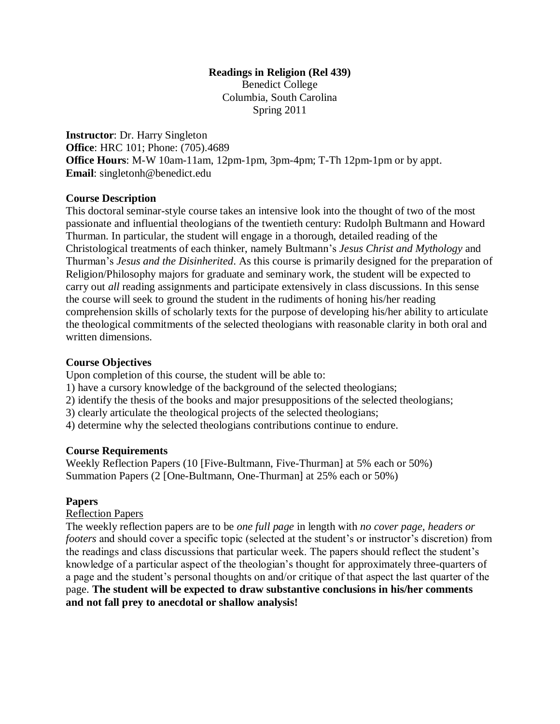# **Readings in Religion (Rel 439)**

Benedict College Columbia, South Carolina Spring 2011

**Instructor**: Dr. Harry Singleton **Office**: HRC 101; Phone: (705).4689 **Office Hours**: M-W 10am-11am, 12pm-1pm, 3pm-4pm; T-Th 12pm-1pm or by appt. **Email**: singletonh@benedict.edu

#### **Course Description**

This doctoral seminar-style course takes an intensive look into the thought of two of the most passionate and influential theologians of the twentieth century: Rudolph Bultmann and Howard Thurman. In particular, the student will engage in a thorough, detailed reading of the Christological treatments of each thinker, namely Bultmann's *Jesus Christ and Mythology* and Thurman's *Jesus and the Disinherited*. As this course is primarily designed for the preparation of Religion/Philosophy majors for graduate and seminary work, the student will be expected to carry out *all* reading assignments and participate extensively in class discussions. In this sense the course will seek to ground the student in the rudiments of honing his/her reading comprehension skills of scholarly texts for the purpose of developing his/her ability to articulate the theological commitments of the selected theologians with reasonable clarity in both oral and written dimensions.

### **Course Objectives**

Upon completion of this course, the student will be able to:

1) have a cursory knowledge of the background of the selected theologians;

- 2) identify the thesis of the books and major presuppositions of the selected theologians;
- 3) clearly articulate the theological projects of the selected theologians;

4) determine why the selected theologians contributions continue to endure.

#### **Course Requirements**

Weekly Reflection Papers (10 [Five-Bultmann, Five-Thurman] at 5% each or 50%) Summation Papers (2 [One-Bultmann, One-Thurman] at 25% each or 50%)

#### **Papers**

Reflection Papers

The weekly reflection papers are to be *one full page* in length with *no cover page, headers or footers* and should cover a specific topic (selected at the student's or instructor's discretion) from the readings and class discussions that particular week. The papers should reflect the student's knowledge of a particular aspect of the theologian's thought for approximately three-quarters of a page and the student's personal thoughts on and/or critique of that aspect the last quarter of the page. **The student will be expected to draw substantive conclusions in his/her comments and not fall prey to anecdotal or shallow analysis!**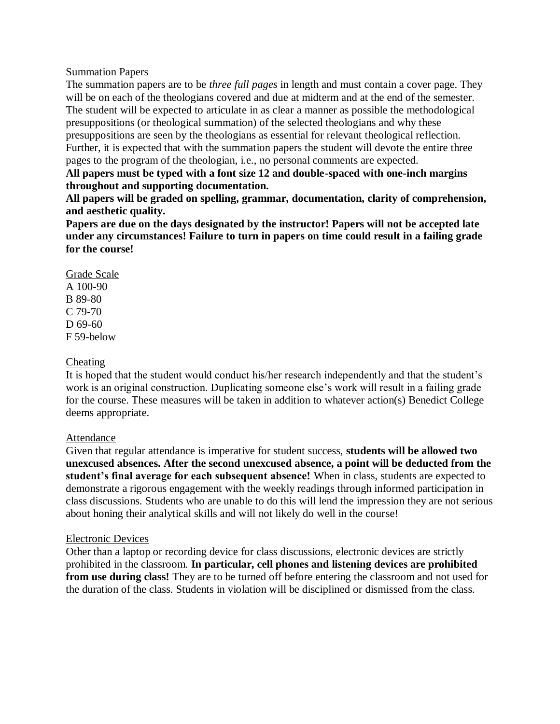#### Summation Papers

The summation papers are to be *three full pages* in length and must contain a cover page. They will be on each of the theologians covered and due at midterm and at the end of the semester. The student will be expected to articulate in as clear a manner as possible the methodological presuppositions (or theological summation) of the selected theologians and why these presuppositions are seen by the theologians as essential for relevant theological reflection. Further, it is expected that with the summation papers the student will devote the entire three pages to the program of the theologian, i.e., no personal comments are expected.

**All papers must be typed with a font size 12 and double-spaced with one-inch margins throughout and supporting documentation.** 

**All papers will be graded on spelling, grammar, documentation, clarity of comprehension, and aesthetic quality.** 

**Papers are due on the days designated by the instructor! Papers will not be accepted late under any circumstances! Failure to turn in papers on time could result in a failing grade for the course!**

### Grade Scale A 100-90 B 89-80 C 79-70 D 69-60 F 59-below

#### Cheating

It is hoped that the student would conduct his/her research independently and that the student's work is an original construction. Duplicating someone else's work will result in a failing grade for the course. These measures will be taken in addition to whatever action(s) Benedict College deems appropriate.

#### Attendance

Given that regular attendance is imperative for student success, **students will be allowed two unexcused absences. After the second unexcused absence, a point will be deducted from the student's final average for each subsequent absence!** When in class, students are expected to demonstrate a rigorous engagement with the weekly readings through informed participation in class discussions. Students who are unable to do this will lend the impression they are not serious about honing their analytical skills and will not likely do well in the course!

#### Electronic Devices

Other than a laptop or recording device for class discussions, electronic devices are strictly prohibited in the classroom. **In particular, cell phones and listening devices are prohibited from use during class!** They are to be turned off before entering the classroom and not used for the duration of the class. Students in violation will be disciplined or dismissed from the class.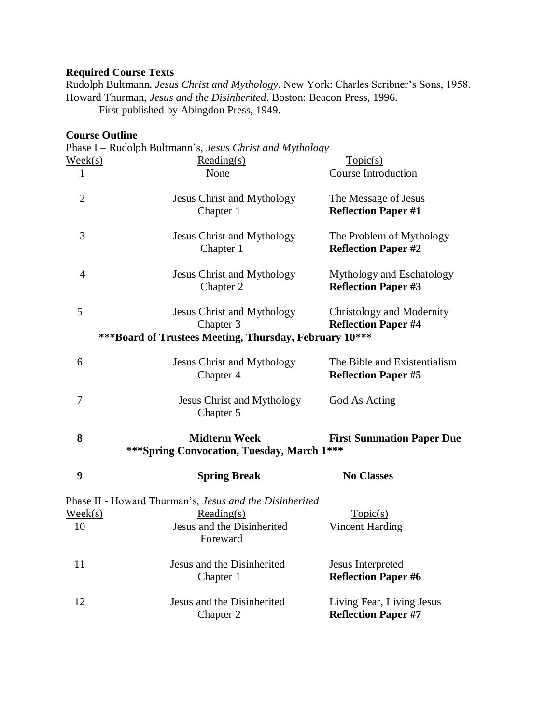## **Required Course Texts**

Rudolph Bultmann, *Jesus Christ and Mythology*. New York: Charles Scribner's Sons, 1958. Howard Thurman, *Jesus and the Disinherited*. Boston: Beacon Press, 1996.

First published by Abingdon Press, 1949.

## **Course Outline**

|                  | Phase I – Rudolph Bultmann's, Jesus Christ and Mythology |                                  |
|------------------|----------------------------------------------------------|----------------------------------|
| $\text{Week}(s)$ | $Reading(s)$                                             | Topic(s)                         |
| $\mathbf{1}$     | None                                                     | <b>Course Introduction</b>       |
| $\overline{2}$   | <b>Jesus Christ and Mythology</b>                        | The Message of Jesus             |
|                  | Chapter 1                                                | <b>Reflection Paper #1</b>       |
| 3                | Jesus Christ and Mythology                               | The Problem of Mythology         |
|                  | Chapter 1                                                | <b>Reflection Paper #2</b>       |
| 4                | Jesus Christ and Mythology                               | Mythology and Eschatology        |
|                  | Chapter 2                                                | <b>Reflection Paper #3</b>       |
| 5                | Jesus Christ and Mythology                               | Christology and Modernity        |
|                  | Chapter 3                                                | <b>Reflection Paper #4</b>       |
|                  | ***Board of Trustees Meeting, Thursday, February 10***   |                                  |
| 6                | Jesus Christ and Mythology                               | The Bible and Existentialism     |
|                  | Chapter 4                                                | <b>Reflection Paper #5</b>       |
| 7                | <b>Jesus Christ and Mythology</b>                        | God As Acting                    |
|                  | Chapter 5                                                |                                  |
| 8                | <b>Midterm Week</b>                                      | <b>First Summation Paper Due</b> |
|                  | *** Spring Convocation, Tuesday, March 1***              |                                  |
| $\boldsymbol{9}$ | <b>Spring Break</b>                                      | <b>No Classes</b>                |
|                  | Phase II - Howard Thurman's, Jesus and the Disinherited  |                                  |
| $\text{Week}(s)$ | $Reading(s)$                                             | Topic(s)                         |
| 10               | Jesus and the Disinherited<br>Foreward                   | <b>Vincent Harding</b>           |
| 11               | Jesus and the Disinherited                               | Jesus Interpreted                |
|                  | Chapter 1                                                | <b>Reflection Paper #6</b>       |
| 12               | Jesus and the Disinherited                               | Living Fear, Living Jesus        |
|                  | Chapter 2                                                | <b>Reflection Paper #7</b>       |